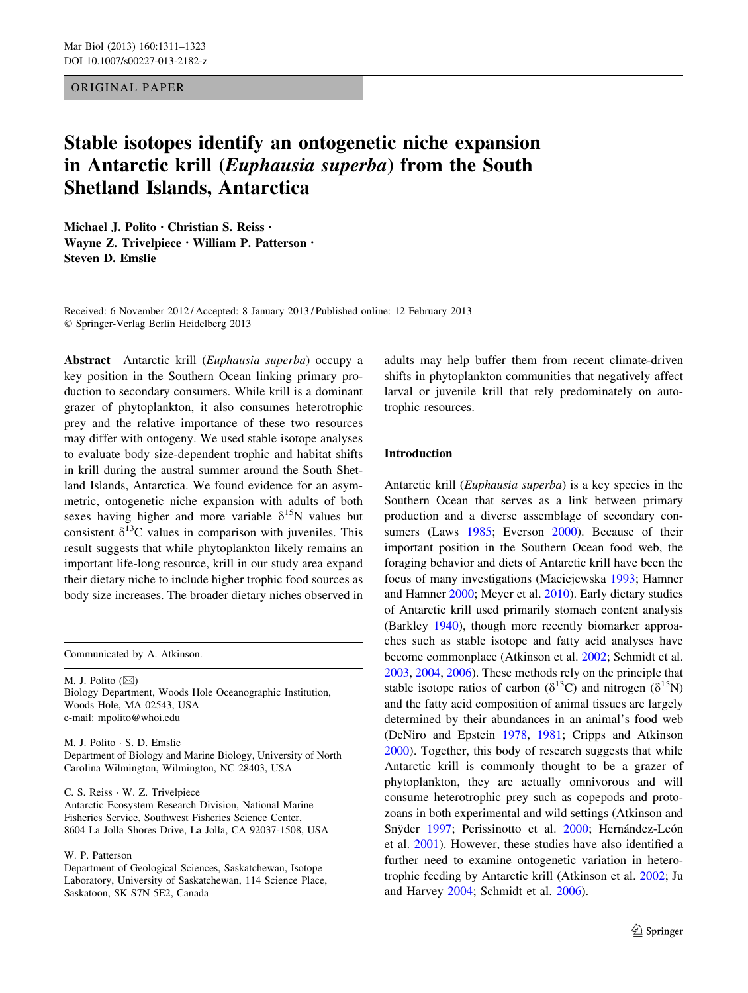## ORIGINAL PAPER

# Stable isotopes identify an ontogenetic niche expansion in Antarctic krill (Euphausia superba) from the South Shetland Islands, Antarctica

Michael J. Polito • Christian S. Reiss • Wayne Z. Trivelpiece • William P. Patterson • Steven D. Emslie

Received: 6 November 2012 / Accepted: 8 January 2013 / Published online: 12 February 2013 - Springer-Verlag Berlin Heidelberg 2013

Abstract Antarctic krill (Euphausia superba) occupy a key position in the Southern Ocean linking primary production to secondary consumers. While krill is a dominant grazer of phytoplankton, it also consumes heterotrophic prey and the relative importance of these two resources may differ with ontogeny. We used stable isotope analyses to evaluate body size-dependent trophic and habitat shifts in krill during the austral summer around the South Shetland Islands, Antarctica. We found evidence for an asymmetric, ontogenetic niche expansion with adults of both sexes having higher and more variable  $\delta^{15}N$  values but consistent  $\delta^{13}$ C values in comparison with juveniles. This result suggests that while phytoplankton likely remains an important life-long resource, krill in our study area expand their dietary niche to include higher trophic food sources as body size increases. The broader dietary niches observed in

Communicated by A. Atkinson.

M. J. Polito  $(\boxtimes)$ Biology Department, Woods Hole Oceanographic Institution, Woods Hole, MA 02543, USA

e-mail: mpolito@whoi.edu

M. J. Polito - S. D. Emslie Department of Biology and Marine Biology, University of North Carolina Wilmington, Wilmington, NC 28403, USA

C. S. Reiss - W. Z. Trivelpiece

Antarctic Ecosystem Research Division, National Marine Fisheries Service, Southwest Fisheries Science Center, 8604 La Jolla Shores Drive, La Jolla, CA 92037-1508, USA

W. P. Patterson

Department of Geological Sciences, Saskatchewan, Isotope Laboratory, University of Saskatchewan, 114 Science Place, Saskatoon, SK S7N 5E2, Canada

adults may help buffer them from recent climate-driven shifts in phytoplankton communities that negatively affect larval or juvenile krill that rely predominately on autotrophic resources.

## Introduction

Antarctic krill (Euphausia superba) is a key species in the Southern Ocean that serves as a link between primary production and a diverse assemblage of secondary con-sumers (Laws [1985;](#page-11-0) Everson [2000\)](#page-10-0). Because of their important position in the Southern Ocean food web, the foraging behavior and diets of Antarctic krill have been the focus of many investigations (Maciejewska [1993](#page-11-0); Hamner and Hamner [2000;](#page-10-0) Meyer et al. [2010\)](#page-11-0). Early dietary studies of Antarctic krill used primarily stomach content analysis (Barkley [1940](#page-10-0)), though more recently biomarker approaches such as stable isotope and fatty acid analyses have become commonplace (Atkinson et al. [2002](#page-10-0); Schmidt et al. [2003](#page-11-0), [2004,](#page-11-0) [2006\)](#page-11-0). These methods rely on the principle that stable isotope ratios of carbon ( $\delta^{13}$ C) and nitrogen ( $\delta^{15}$ N) and the fatty acid composition of animal tissues are largely determined by their abundances in an animal's food web (DeNiro and Epstein [1978,](#page-10-0) [1981;](#page-10-0) Cripps and Atkinson [2000](#page-10-0)). Together, this body of research suggests that while Antarctic krill is commonly thought to be a grazer of phytoplankton, they are actually omnivorous and will consume heterotrophic prey such as copepods and protozoans in both experimental and wild settings (Atkinson and Snÿder [1997;](#page-10-0) Perissinotto et al. [2000;](#page-11-0) Hernández-León et al. [2001\)](#page-10-0). However, these studies have also identified a further need to examine ontogenetic variation in heterotrophic feeding by Antarctic krill (Atkinson et al. [2002;](#page-10-0) Ju and Harvey [2004;](#page-11-0) Schmidt et al. [2006](#page-11-0)).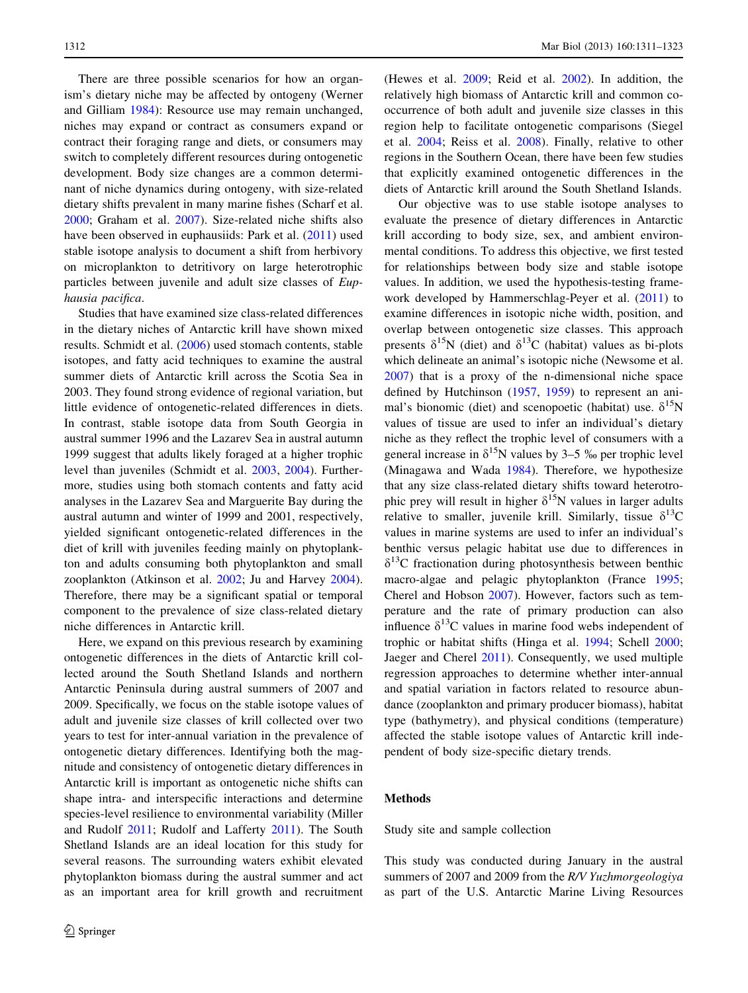There are three possible scenarios for how an organism's dietary niche may be affected by ontogeny (Werner and Gilliam [1984](#page-12-0)): Resource use may remain unchanged, niches may expand or contract as consumers expand or contract their foraging range and diets, or consumers may switch to completely different resources during ontogenetic development. Body size changes are a common determinant of niche dynamics during ontogeny, with size-related dietary shifts prevalent in many marine fishes (Scharf et al. [2000;](#page-11-0) Graham et al. [2007](#page-10-0)). Size-related niche shifts also have been observed in euphausiids: Park et al. ([2011\)](#page-11-0) used stable isotope analysis to document a shift from herbivory on microplankton to detritivory on large heterotrophic particles between juvenile and adult size classes of Euphausia pacifica.

Studies that have examined size class-related differences in the dietary niches of Antarctic krill have shown mixed results. Schmidt et al. [\(2006](#page-11-0)) used stomach contents, stable isotopes, and fatty acid techniques to examine the austral summer diets of Antarctic krill across the Scotia Sea in 2003. They found strong evidence of regional variation, but little evidence of ontogenetic-related differences in diets. In contrast, stable isotope data from South Georgia in austral summer 1996 and the Lazarev Sea in austral autumn 1999 suggest that adults likely foraged at a higher trophic level than juveniles (Schmidt et al. [2003,](#page-11-0) [2004\)](#page-11-0). Furthermore, studies using both stomach contents and fatty acid analyses in the Lazarev Sea and Marguerite Bay during the austral autumn and winter of 1999 and 2001, respectively, yielded significant ontogenetic-related differences in the diet of krill with juveniles feeding mainly on phytoplankton and adults consuming both phytoplankton and small zooplankton (Atkinson et al. [2002;](#page-10-0) Ju and Harvey [2004](#page-11-0)). Therefore, there may be a significant spatial or temporal component to the prevalence of size class-related dietary niche differences in Antarctic krill.

Here, we expand on this previous research by examining ontogenetic differences in the diets of Antarctic krill collected around the South Shetland Islands and northern Antarctic Peninsula during austral summers of 2007 and 2009. Specifically, we focus on the stable isotope values of adult and juvenile size classes of krill collected over two years to test for inter-annual variation in the prevalence of ontogenetic dietary differences. Identifying both the magnitude and consistency of ontogenetic dietary differences in Antarctic krill is important as ontogenetic niche shifts can shape intra- and interspecific interactions and determine species-level resilience to environmental variability (Miller and Rudolf [2011;](#page-11-0) Rudolf and Lafferty [2011](#page-11-0)). The South Shetland Islands are an ideal location for this study for several reasons. The surrounding waters exhibit elevated phytoplankton biomass during the austral summer and act as an important area for krill growth and recruitment (Hewes et al. [2009;](#page-10-0) Reid et al. [2002](#page-11-0)). In addition, the relatively high biomass of Antarctic krill and common cooccurrence of both adult and juvenile size classes in this region help to facilitate ontogenetic comparisons (Siegel et al. [2004](#page-12-0); Reiss et al. [2008](#page-11-0)). Finally, relative to other regions in the Southern Ocean, there have been few studies that explicitly examined ontogenetic differences in the diets of Antarctic krill around the South Shetland Islands.

Our objective was to use stable isotope analyses to evaluate the presence of dietary differences in Antarctic krill according to body size, sex, and ambient environmental conditions. To address this objective, we first tested for relationships between body size and stable isotope values. In addition, we used the hypothesis-testing framework developed by Hammerschlag-Peyer et al. [\(2011](#page-10-0)) to examine differences in isotopic niche width, position, and overlap between ontogenetic size classes. This approach presents  $\delta^{15}N$  (diet) and  $\delta^{13}C$  (habitat) values as bi-plots which delineate an animal's isotopic niche (Newsome et al. [2007](#page-11-0)) that is a proxy of the n-dimensional niche space defined by Hutchinson ([1957,](#page-10-0) [1959](#page-10-0)) to represent an animal's bionomic (diet) and scenopoetic (habitat) use.  $\delta^{15}N$ values of tissue are used to infer an individual's dietary niche as they reflect the trophic level of consumers with a general increase in  $\delta^{15}N$  values by 3–5 ‰ per trophic level (Minagawa and Wada [1984](#page-11-0)). Therefore, we hypothesize that any size class-related dietary shifts toward heterotrophic prey will result in higher  $\delta^{15}N$  values in larger adults relative to smaller, juvenile krill. Similarly, tissue  $\delta^{13}C$ values in marine systems are used to infer an individual's benthic versus pelagic habitat use due to differences in  $\delta^{13}$ C fractionation during photosynthesis between benthic macro-algae and pelagic phytoplankton (France [1995](#page-10-0); Cherel and Hobson [2007](#page-10-0)). However, factors such as temperature and the rate of primary production can also influence  $\delta^{13}$ C values in marine food webs independent of trophic or habitat shifts (Hinga et al. [1994](#page-10-0); Schell [2000](#page-11-0); Jaeger and Cherel [2011](#page-11-0)). Consequently, we used multiple regression approaches to determine whether inter-annual and spatial variation in factors related to resource abundance (zooplankton and primary producer biomass), habitat type (bathymetry), and physical conditions (temperature) affected the stable isotope values of Antarctic krill independent of body size-specific dietary trends.

## Methods

Study site and sample collection

This study was conducted during January in the austral summers of 2007 and 2009 from the R/V Yuzhmorgeologiya as part of the U.S. Antarctic Marine Living Resources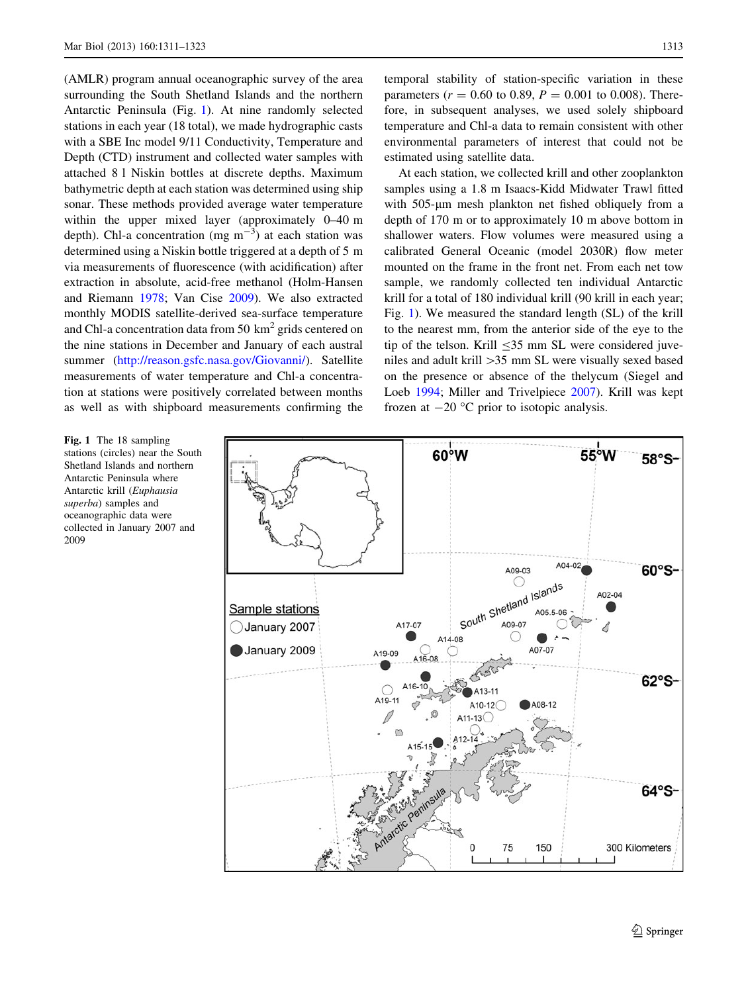(AMLR) program annual oceanographic survey of the area surrounding the South Shetland Islands and the northern Antarctic Peninsula (Fig. 1). At nine randomly selected stations in each year (18 total), we made hydrographic casts with a SBE Inc model 9/11 Conductivity, Temperature and Depth (CTD) instrument and collected water samples with attached 8 l Niskin bottles at discrete depths. Maximum bathymetric depth at each station was determined using ship sonar. These methods provided average water temperature within the upper mixed layer (approximately 0–40 m depth). Chl-a concentration (mg  $m^{-3}$ ) at each station was determined using a Niskin bottle triggered at a depth of 5 m via measurements of fluorescence (with acidification) after extraction in absolute, acid-free methanol (Holm-Hansen and Riemann [1978](#page-10-0); Van Cise [2009](#page-12-0)). We also extracted monthly MODIS satellite-derived sea-surface temperature and Chl-a concentration data from 50  $\text{km}^2$  grids centered on the nine stations in December and January of each austral summer (<http://reason.gsfc.nasa.gov/Giovanni/>). Satellite measurements of water temperature and Chl-a concentration at stations were positively correlated between months as well as with shipboard measurements confirming the

Fig. 1 The 18 sampling stations (circles) near the South Shetland Islands and northern Antarctic Peninsula where Antarctic krill (Euphausia superba) samples and oceanographic data were collected in January 2007 and 2009

temporal stability of station-specific variation in these parameters ( $r = 0.60$  to 0.89,  $P = 0.001$  to 0.008). Therefore, in subsequent analyses, we used solely shipboard temperature and Chl-a data to remain consistent with other environmental parameters of interest that could not be estimated using satellite data.

At each station, we collected krill and other zooplankton samples using a 1.8 m Isaacs-Kidd Midwater Trawl fitted with 505-µm mesh plankton net fished obliquely from a depth of 170 m or to approximately 10 m above bottom in shallower waters. Flow volumes were measured using a calibrated General Oceanic (model 2030R) flow meter mounted on the frame in the front net. From each net tow sample, we randomly collected ten individual Antarctic krill for a total of 180 individual krill (90 krill in each year; Fig. 1). We measured the standard length (SL) of the krill to the nearest mm, from the anterior side of the eye to the tip of the telson. Krill  $\leq$ 35 mm SL were considered juveniles and adult krill [35 mm SL were visually sexed based on the presence or absence of the thelycum (Siegel and Loeb [1994;](#page-12-0) Miller and Trivelpiece [2007\)](#page-11-0). Krill was kept frozen at  $-20$  °C prior to isotopic analysis.

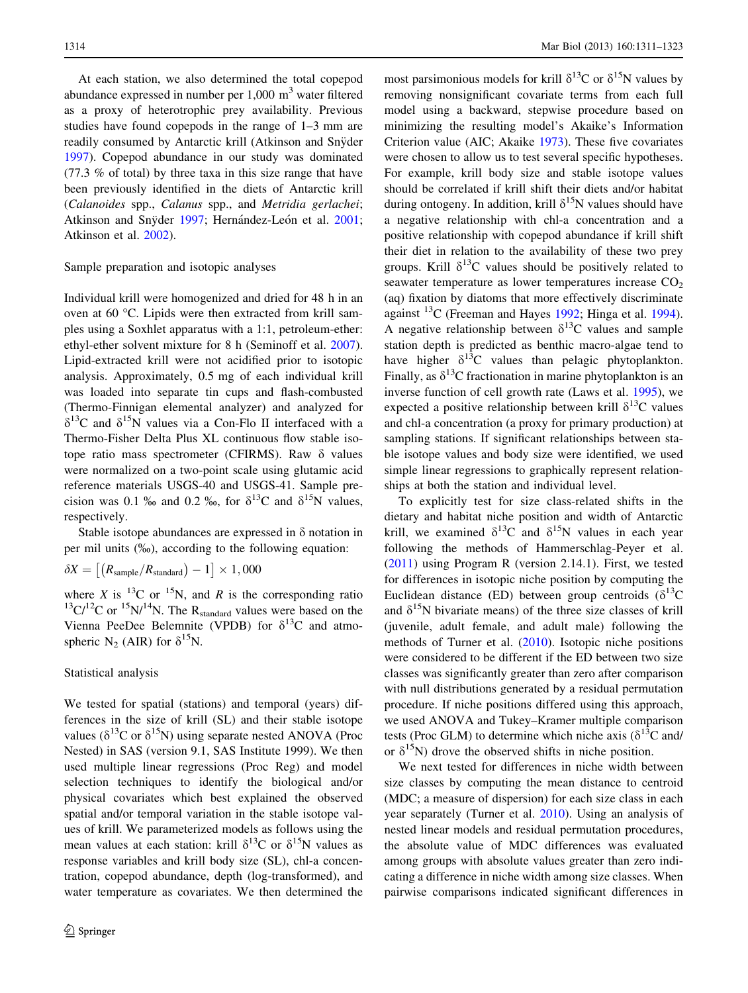At each station, we also determined the total copepod abundance expressed in number per  $1,000 \text{ m}^3$  water filtered as a proxy of heterotrophic prey availability. Previous studies have found copepods in the range of 1–3 mm are readily consumed by Antarctic krill (Atkinson and Snyder [1997\)](#page-10-0). Copepod abundance in our study was dominated (77.3 % of total) by three taxa in this size range that have been previously identified in the diets of Antarctic krill (Calanoides spp., Calanus spp., and Metridia gerlachei; Atkinson and Snyder [1997;](#page-10-0) Hernández-León et al. [2001](#page-10-0); Atkinson et al. [2002\)](#page-10-0).

#### Sample preparation and isotopic analyses

Individual krill were homogenized and dried for 48 h in an oven at 60 °C. Lipids were then extracted from krill samples using a Soxhlet apparatus with a 1:1, petroleum-ether: ethyl-ether solvent mixture for 8 h (Seminoff et al. [2007](#page-11-0)). Lipid-extracted krill were not acidified prior to isotopic analysis. Approximately, 0.5 mg of each individual krill was loaded into separate tin cups and flash-combusted (Thermo-Finnigan elemental analyzer) and analyzed for  $\delta^{13}$ C and  $\delta^{15}$ N values via a Con-Flo II interfaced with a Thermo-Fisher Delta Plus XL continuous flow stable isotope ratio mass spectrometer (CFIRMS). Raw  $\delta$  values were normalized on a two-point scale using glutamic acid reference materials USGS-40 and USGS-41. Sample precision was 0.1 ‰ and 0.2 ‰, for  $\delta^{13}C$  and  $\delta^{15}N$  values, respectively.

Stable isotope abundances are expressed in  $\delta$  notation in per mil units (%), according to the following equation:

$$
\delta X = \left[ \left( R_{\text{sample}} / R_{\text{standard}} \right) - 1 \right] \times 1,000
$$

where X is  $^{13}$ C or  $^{15}$ N, and R is the corresponding ratio  $13\text{C}/12\text{C}$  or  $15\text{N}/14\text{N}$ . The R<sub>standard</sub> values were based on the Vienna PeeDee Belemnite (VPDB) for  $\delta^{13}$ C and atmospheric N<sub>2</sub> (AIR) for  $\delta^{15}$ N.

## Statistical analysis

We tested for spatial (stations) and temporal (years) differences in the size of krill (SL) and their stable isotope values ( $\delta^{13}$ C or  $\delta^{15}$ N) using separate nested ANOVA (Proc Nested) in SAS (version 9.1, SAS Institute 1999). We then used multiple linear regressions (Proc Reg) and model selection techniques to identify the biological and/or physical covariates which best explained the observed spatial and/or temporal variation in the stable isotope values of krill. We parameterized models as follows using the mean values at each station: krill  $\delta^{13}$ C or  $\delta^{15}$ N values as response variables and krill body size (SL), chl-a concentration, copepod abundance, depth (log-transformed), and water temperature as covariates. We then determined the

most parsimonious models for krill  $\delta^{13}C$  or  $\delta^{15}N$  values by removing nonsignificant covariate terms from each full model using a backward, stepwise procedure based on minimizing the resulting model's Akaike's Information Criterion value (AIC; Akaike [1973](#page-10-0)). These five covariates were chosen to allow us to test several specific hypotheses. For example, krill body size and stable isotope values should be correlated if krill shift their diets and/or habitat during ontogeny. In addition, krill  $\delta^{15}N$  values should have a negative relationship with chl-a concentration and a positive relationship with copepod abundance if krill shift their diet in relation to the availability of these two prey groups. Krill  $\delta^{13}$ C values should be positively related to seawater temperature as lower temperatures increase  $CO<sub>2</sub>$ (aq) fixation by diatoms that more effectively discriminate against  $^{13}$ C (Freeman and Hayes [1992;](#page-10-0) Hinga et al. [1994](#page-10-0)). A negative relationship between  $\delta^{13}$ C values and sample station depth is predicted as benthic macro-algae tend to have higher  $\delta^{13}$ C values than pelagic phytoplankton. Finally, as  $\delta^{13}$ C fractionation in marine phytoplankton is an inverse function of cell growth rate (Laws et al. [1995\)](#page-11-0), we expected a positive relationship between krill  $\delta^{13}$ C values and chl-a concentration (a proxy for primary production) at sampling stations. If significant relationships between stable isotope values and body size were identified, we used simple linear regressions to graphically represent relationships at both the station and individual level.

To explicitly test for size class-related shifts in the dietary and habitat niche position and width of Antarctic krill, we examined  $\delta^{13}$ C and  $\delta^{15}$ N values in each year following the methods of Hammerschlag-Peyer et al. [\(2011](#page-10-0)) using Program R (version 2.14.1). First, we tested for differences in isotopic niche position by computing the Euclidean distance (ED) between group centroids  $(\delta^{13}C)$ and  $\delta^{15}N$  bivariate means) of the three size classes of krill (juvenile, adult female, and adult male) following the methods of Turner et al. [\(2010](#page-12-0)). Isotopic niche positions were considered to be different if the ED between two size classes was significantly greater than zero after comparison with null distributions generated by a residual permutation procedure. If niche positions differed using this approach, we used ANOVA and Tukey–Kramer multiple comparison tests (Proc GLM) to determine which niche axis ( $\delta^{13}$ C and/ or  $\delta^{15}$ N) drove the observed shifts in niche position.

We next tested for differences in niche width between size classes by computing the mean distance to centroid (MDC; a measure of dispersion) for each size class in each year separately (Turner et al. [2010\)](#page-12-0). Using an analysis of nested linear models and residual permutation procedures, the absolute value of MDC differences was evaluated among groups with absolute values greater than zero indicating a difference in niche width among size classes. When pairwise comparisons indicated significant differences in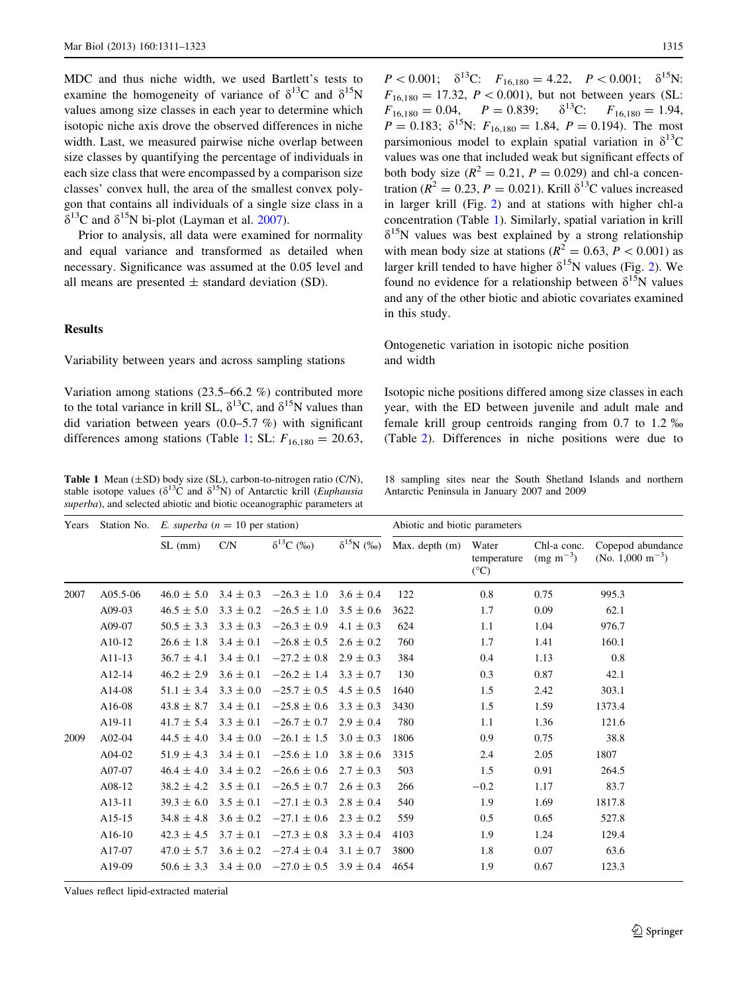MDC and thus niche width, we used Bartlett's tests to examine the homogeneity of variance of  $\delta^{13}C$  and  $\delta^{15}N$ values among size classes in each year to determine which isotopic niche axis drove the observed differences in niche width. Last, we measured pairwise niche overlap between size classes by quantifying the percentage of individuals in each size class that were encompassed by a comparison size classes' convex hull, the area of the smallest convex polygon that contains all individuals of a single size class in a  $\delta^{13}$ C and  $\delta^{15}$ N bi-plot (Layman et al. [2007](#page-11-0)).

Prior to analysis, all data were examined for normality and equal variance and transformed as detailed when necessary. Significance was assumed at the 0.05 level and all means are presented  $\pm$  standard deviation (SD).

# Results

Variability between years and across sampling stations

Variation among stations (23.5–66.2 %) contributed more to the total variance in krill SL,  $\delta^{13}$ C, and  $\delta^{15}$ N values than did variation between years (0.0–5.7 %) with significant differences among stations (Table 1; SL:  $F_{16,180} = 20.63$ ,

Table 1 Mean ( $\pm$ SD) body size (SL), carbon-to-nitrogen ratio (C/N), stable isotope values ( $\delta^{13}$ C and  $\delta^{15}$ N) of Antarctic krill (*Euphausia* superba), and selected abiotic and biotic oceanographic parameters at

 $P < 0.001; \quad \delta^{13}C: \quad F_{16,180} = 4.22, \quad P < 0.001; \quad \delta^{15}N:$  $F_{16,180} = 17.32, P < 0.001$ , but not between years (SL:  $F_{16,180} = 0.04$ ,  $P = 0.839$ ;  $\delta^{13}$ C:  $F_{16,180} = 1.94$ ,  $P = 0.183$ ;  $\delta^{15}N$ :  $F_{16,180} = 1.84$ ,  $P = 0.194$ ). The most parsimonious model to explain spatial variation in  $\delta^{13}C$ values was one that included weak but significant effects of both body size ( $R^2 = 0.21$ ,  $P = 0.029$ ) and chl-a concentration ( $R^2 = 0.23$ ,  $P = 0.021$ ). Krill  $\delta^{13}$ C values increased in larger krill (Fig. [2](#page-5-0)) and at stations with higher chl-a concentration (Table 1). Similarly, spatial variation in krill  $\delta^{15}$ N values was best explained by a strong relationship with mean body size at stations ( $R^2 = 0.63$ ,  $P < 0.001$ ) as larger krill tended to have higher  $\delta^{15}N$  values (Fig. [2\)](#page-5-0). We found no evidence for a relationship between  $\delta^{15}N$  values and any of the other biotic and abiotic covariates examined in this study.

Ontogenetic variation in isotopic niche position and width

Isotopic niche positions differed among size classes in each year, with the ED between juvenile and adult male and female krill group centroids ranging from 0.7 to 1.2 % (Table [2\)](#page-6-0). Differences in niche positions were due to

18 sampling sites near the South Shetland Islands and northern Antarctic Peninsula in January 2007 and 2009

| Years | Station No. | E. superba ( $n = 10$ per station) |               |                               |                    | Abiotic and biotic parameters |                                       |                                      |                                                    |
|-------|-------------|------------------------------------|---------------|-------------------------------|--------------------|-------------------------------|---------------------------------------|--------------------------------------|----------------------------------------------------|
|       |             | $SL$ (mm)                          | C/N           | $\delta^{13}C$ (%)            | $\delta^{15}N$ (%) | Max. depth (m)                | Water<br>temperature<br>$(^{\circ}C)$ | Chl-a conc.<br>$(mg \text{ m}^{-3})$ | Copepod abundance<br>(No. $1,000 \text{ m}^{-3}$ ) |
| 2007  | $A05.5-06$  | $46.0 \pm 5.0$                     | $3.4 \pm 0.3$ | $-26.3 \pm 1.0$               | $3.6 \pm 0.4$      | 122                           | 0.8                                   | 0.75                                 | 995.3                                              |
|       | $A09-03$    | $46.5 \pm 5.0$                     | $3.3 \pm 0.2$ | $-26.5 \pm 1.0$               | $3.5 \pm 0.6$      | 3622                          | 1.7                                   | 0.09                                 | 62.1                                               |
|       | A09-07      | $50.5 \pm 3.3$                     | $3.3 \pm 0.3$ | $-26.3 \pm 0.9$               | $4.1 \pm 0.3$      | 624                           | 1.1                                   | 1.04                                 | 976.7                                              |
|       | $A10-12$    | $26.6 \pm 1.8$                     | $3.4 \pm 0.1$ | $-26.8 \pm 0.5$               | $2.6 \pm 0.2$      | 760                           | 1.7                                   | 1.41                                 | 160.1                                              |
|       | $A11-13$    | $36.7 \pm 4.1$                     | $3.4 \pm 0.1$ | $-27.2 \pm 0.8$               | $2.9 \pm 0.3$      | 384                           | 0.4                                   | 1.13                                 | 0.8                                                |
|       | $A12-14$    | $46.2 \pm 2.9$                     | $3.6 \pm 0.1$ | $-26.2 \pm 1.4$               | $3.3 \pm 0.7$      | 130                           | 0.3                                   | 0.87                                 | 42.1                                               |
|       | A14-08      | $51.1 \pm 3.4$                     | $3.3 \pm 0.0$ | $-25.7 \pm 0.5$               | $4.5 \pm 0.5$      | 1640                          | 1.5                                   | 2.42                                 | 303.1                                              |
|       | A16-08      | $43.8 \pm 8.7$                     | $3.4 \pm 0.1$ | $-25.8 \pm 0.6$               | $3.3 \pm 0.3$      | 3430                          | 1.5                                   | 1.59                                 | 1373.4                                             |
|       | A19-11      | $41.7 \pm 5.4$                     | $3.3 \pm 0.1$ | $-26.7 \pm 0.7$               | $2.9 \pm 0.4$      | 780                           | 1.1                                   | 1.36                                 | 121.6                                              |
| 2009  | $A02-04$    | $44.5 \pm 4.0$                     |               | $3.4 \pm 0.0$ $-26.1 \pm 1.5$ | $3.0 \pm 0.3$      | 1806                          | 0.9                                   | 0.75                                 | 38.8                                               |
|       | $A04-02$    | $51.9 \pm 4.3$                     | $3.4 \pm 0.1$ | $-25.6 \pm 1.0$               | $3.8 \pm 0.6$      | 3315                          | 2.4                                   | 2.05                                 | 1807                                               |
|       | A07-07      | $46.4 \pm 4.0$                     | $3.4 \pm 0.2$ | $-26.6 \pm 0.6$               | $2.7 \pm 0.3$      | 503                           | 1.5                                   | 0.91                                 | 264.5                                              |
|       | A08-12      | $38.2 \pm 4.2$                     | $3.5 \pm 0.1$ | $-26.5 \pm 0.7$               | $2.6 \pm 0.3$      | 266                           | $-0.2$                                | 1.17                                 | 83.7                                               |
|       | $A13-11$    | $39.3 \pm 6.0$                     | $3.5 \pm 0.1$ | $-27.1 \pm 0.3$               | $2.8 \pm 0.4$      | 540                           | 1.9                                   | 1.69                                 | 1817.8                                             |
|       | A15-15      | $34.8 \pm 4.8$                     | $3.6 \pm 0.2$ | $-27.1 \pm 0.6$               | $2.3 \pm 0.2$      | 559                           | 0.5                                   | 0.65                                 | 527.8                                              |
|       | $A16-10$    | $42.3 \pm 4.5$                     | $3.7 \pm 0.1$ | $-27.3 \pm 0.8$               | $3.3 \pm 0.4$      | 4103                          | 1.9                                   | 1.24                                 | 129.4                                              |
|       | A17-07      | $47.0 \pm 5.7$                     |               | $3.6 \pm 0.2$ $-27.4 \pm 0.4$ | $3.1 \pm 0.7$      | 3800                          | 1.8                                   | 0.07                                 | 63.6                                               |
|       | A19-09      | $50.6 \pm 3.3$                     |               | $3.4 \pm 0.0$ $-27.0 \pm 0.5$ | $3.9 \pm 0.4$      | 4654                          | 1.9                                   | 0.67                                 | 123.3                                              |

Values reflect lipid-extracted material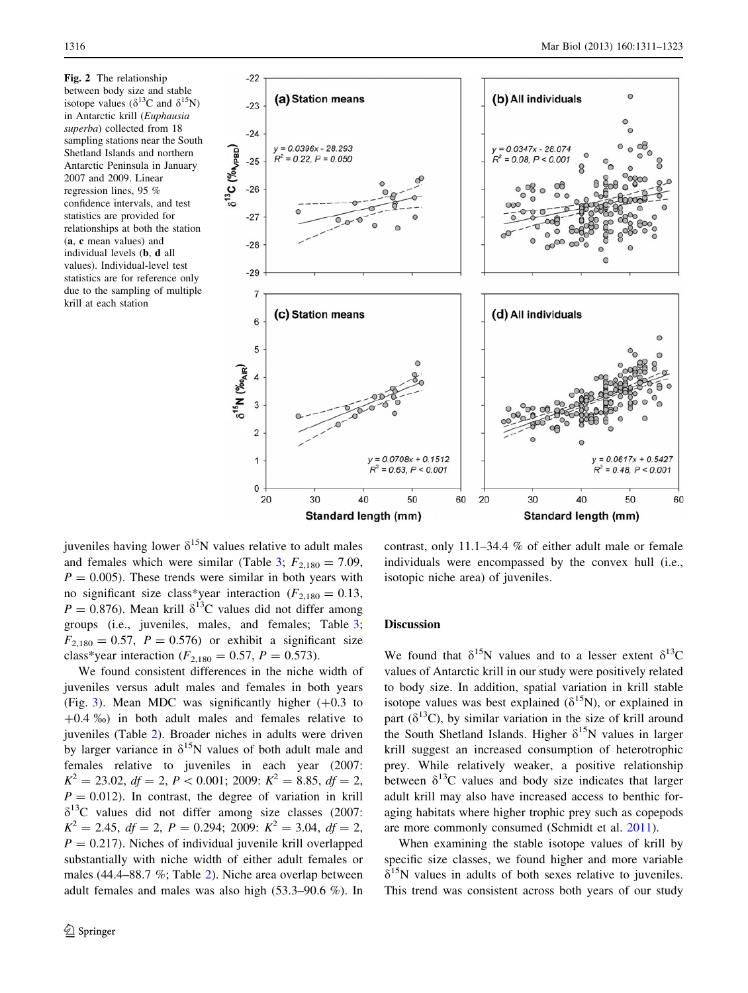<span id="page-5-0"></span>Fig. 2 The relationship between body size and stable isotope values ( $\delta^{13}$ C and  $\delta^{15}$ N) in Antarctic krill (Euphausia superba) collected from 18 sampling stations near the South Shetland Islands and northern Antarctic Peninsula in January 2007 and 2009. Linear regression lines, 95 % confidence intervals, and test statistics are provided for relationships at both the station (a, c mean values) and individual levels (b, d all values). Individual-level test statistics are for reference only due to the sampling of multiple krill at each station



Standard length (mm)

Standard length (mm)

juveniles having lower  $\delta^{15}N$  values relative to adult males and females which were similar (Table [3;](#page-6-0)  $F_{2,180} = 7.09$ ,  $P = 0.005$ ). These trends were similar in both years with no significant size class\*year interaction ( $F_{2,180} = 0.13$ ,  $P = 0.876$ ). Mean krill  $\delta^{13}$ C values did not differ among groups (i.e., juveniles, males, and females; Table [3](#page-6-0);  $F_{2,180} = 0.57$ ,  $P = 0.576$ ) or exhibit a significant size class\*year interaction ( $F_{2,180} = 0.57$ ,  $P = 0.573$ ).

We found consistent differences in the niche width of juveniles versus adult males and females in both years (Fig. [3](#page-7-0)). Mean MDC was significantly higher  $(+0.3 \text{ to}$  $+0.4 \text{ %}$ ) in both adult males and females relative to juveniles (Table [2\)](#page-6-0). Broader niches in adults were driven by larger variance in  $\delta^{15}N$  values of both adult male and females relative to juveniles in each year (2007:  $K^2 = 23.02$ ,  $df = 2$ ,  $P < 0.001$ ; 2009:  $K^2 = 8.85$ ,  $df = 2$ ,  $P = 0.012$ ). In contrast, the degree of variation in krill  $\delta^{13}$ C values did not differ among size classes (2007:  $K^2 = 2.45$ ,  $df = 2$ ,  $P = 0.294$ ; 2009:  $K^2 = 3.04$ ,  $df = 2$ ,  $P = 0.217$ ). Niches of individual juvenile krill overlapped substantially with niche width of either adult females or males (44.4–88.7 %; Table [2\)](#page-6-0). Niche area overlap between adult females and males was also high (53.3–90.6 %). In

contrast, only 11.1–34.4 % of either adult male or female individuals were encompassed by the convex hull (i.e., isotopic niche area) of juveniles.

## Discussion

We found that  $\delta^{15}N$  values and to a lesser extent  $\delta^{13}C$ values of Antarctic krill in our study were positively related to body size. In addition, spatial variation in krill stable isotope values was best explained ( $\delta^{15}$ N), or explained in part ( $\delta^{13}$ C), by similar variation in the size of krill around the South Shetland Islands. Higher  $\delta^{15}N$  values in larger krill suggest an increased consumption of heterotrophic prey. While relatively weaker, a positive relationship between  $\delta^{13}$ C values and body size indicates that larger adult krill may also have increased access to benthic foraging habitats where higher trophic prey such as copepods are more commonly consumed (Schmidt et al. [2011](#page-11-0)).

When examining the stable isotope values of krill by specific size classes, we found higher and more variable  $\delta^{15}$ N values in adults of both sexes relative to juveniles. This trend was consistent across both years of our study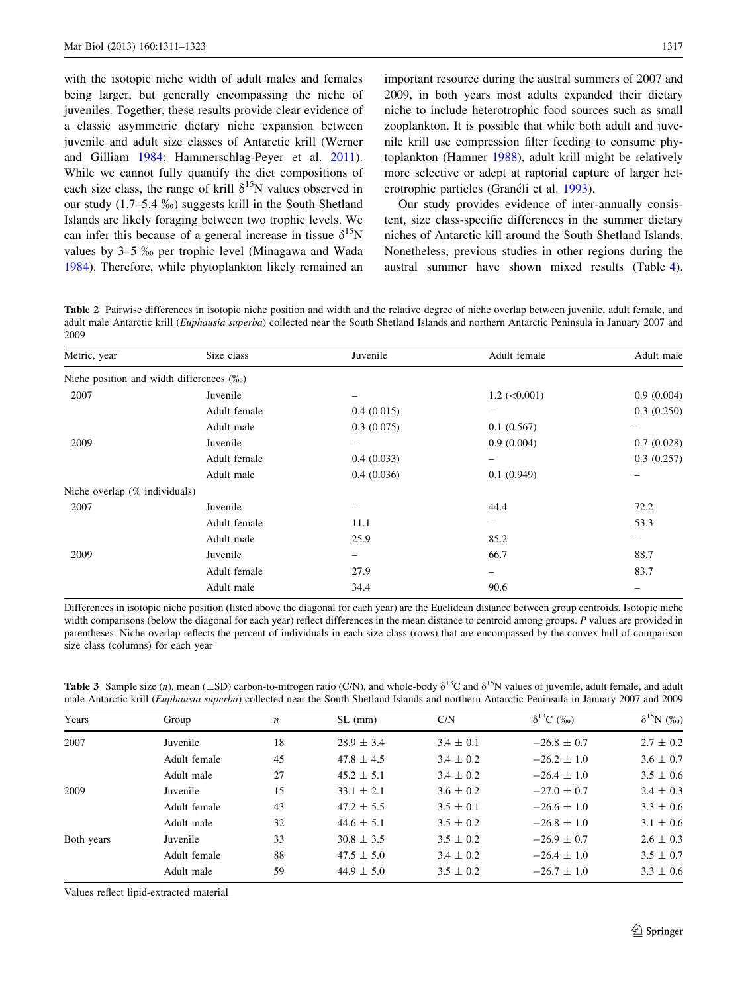<span id="page-6-0"></span>with the isotopic niche width of adult males and females being larger, but generally encompassing the niche of juveniles. Together, these results provide clear evidence of a classic asymmetric dietary niche expansion between juvenile and adult size classes of Antarctic krill (Werner and Gilliam [1984;](#page-12-0) Hammerschlag-Peyer et al. [2011](#page-10-0)). While we cannot fully quantify the diet compositions of each size class, the range of krill  $\delta^{15}N$  values observed in our study (1.7–5.4 %) suggests krill in the South Shetland Islands are likely foraging between two trophic levels. We can infer this because of a general increase in tissue  $\delta^{15}N$ values by 3–5 ‰ per trophic level (Minagawa and Wada [1984\)](#page-11-0). Therefore, while phytoplankton likely remained an

important resource during the austral summers of 2007 and 2009, in both years most adults expanded their dietary niche to include heterotrophic food sources such as small zooplankton. It is possible that while both adult and juvenile krill use compression filter feeding to consume phytoplankton (Hamner [1988](#page-10-0)), adult krill might be relatively more selective or adept at raptorial capture of larger het-erotrophic particles (Granéli et al. [1993](#page-10-0)).

Our study provides evidence of inter-annually consistent, size class-specific differences in the summer dietary niches of Antarctic kill around the South Shetland Islands. Nonetheless, previous studies in other regions during the austral summer have shown mixed results (Table [4](#page-8-0)).

Table 2 Pairwise differences in isotopic niche position and width and the relative degree of niche overlap between juvenile, adult female, and adult male Antarctic krill (Euphausia superba) collected near the South Shetland Islands and northern Antarctic Peninsula in January 2007 and 2009

| Metric, year                              | Size class   | Juvenile                 | Adult female        | Adult male |
|-------------------------------------------|--------------|--------------------------|---------------------|------------|
| Niche position and width differences (%o) |              |                          |                     |            |
| 2007                                      | Juvenile     | -                        | $1.2$ ( $< 0.001$ ) | 0.9(0.004) |
|                                           | Adult female | 0.4(0.015)               | $\qquad \qquad -$   | 0.3(0.250) |
|                                           | Adult male   | 0.3(0.075)               | 0.1(0.567)          |            |
| 2009                                      | Juvenile     |                          | 0.9(0.004)          | 0.7(0.028) |
|                                           | Adult female | 0.4(0.033)               | $\qquad \qquad -$   | 0.3(0.257) |
|                                           | Adult male   | 0.4(0.036)               | 0.1(0.949)          |            |
| Niche overlap $(\%$ individuals)          |              |                          |                     |            |
| 2007                                      | Juvenile     | $\overline{\phantom{0}}$ | 44.4                | 72.2       |
|                                           | Adult female | 11.1                     |                     | 53.3       |
|                                           | Adult male   | 25.9                     | 85.2                | -          |
| 2009                                      | Juvenile     | $\overline{\phantom{0}}$ | 66.7                | 88.7       |
|                                           | Adult female | 27.9                     | -                   | 83.7       |
|                                           | Adult male   | 34.4                     | 90.6                |            |
|                                           |              |                          |                     |            |

Differences in isotopic niche position (listed above the diagonal for each year) are the Euclidean distance between group centroids. Isotopic niche width comparisons (below the diagonal for each year) reflect differences in the mean distance to centroid among groups. P values are provided in parentheses. Niche overlap reflects the percent of individuals in each size class (rows) that are encompassed by the convex hull of comparison size class (columns) for each year

| $\mathbf{v}$ |                                                                                                                                                    | $\mathbf{C}$ $\mathbf{C}$ $\mathbf{C}$ $\mathbf{C}$ $\mathbf{C}$ $\mathbf{C}$ $\mathbf{C}$ $\mathbf{C}$ $\mathbf{C}$ $\mathbf{C}$ $\mathbf{C}$ $\mathbf{C}$ $\mathbf{C}$ $\mathbf{C}$ $\mathbf{C}$ $\mathbf{C}$ $\mathbf{C}$ $\mathbf{C}$ $\mathbf{C}$ $\mathbf{C}$ $\mathbf{C}$ $\mathbf{C}$ $\mathbf{C}$ $\mathbf{C}$ $\mathbf{$ | $\sim$ $\sim$ $\sim$ $\sim$ | $\sim$ 13 $\sim$ $\sim$ | $\frac{615}{2}$ $\frac{6}{2}$ |
|--------------|----------------------------------------------------------------------------------------------------------------------------------------------------|------------------------------------------------------------------------------------------------------------------------------------------------------------------------------------------------------------------------------------------------------------------------------------------------------------------------------------|-----------------------------|-------------------------|-------------------------------|
|              | male Antarctic krill (Euphausia superba) collected near the South Shetland Islands and northern Antarctic Peninsula in January 2007 and 2009       |                                                                                                                                                                                                                                                                                                                                    |                             |                         |                               |
|              | <b>Table 5</b> Sample size (n), mean (±SD) carbon-to-mirogen ratio (C/N), and whole-body of C and of IN values of Juvenne, adult female, and adult |                                                                                                                                                                                                                                                                                                                                    |                             |                         |                               |

 $T_{\rm tot}$   $(T_{\rm A}D)$  carbon-to-distribution-to- $\frac{13C}{13C}$  and  $\frac{15D}{10C}$  values of juvenile, adult female, and adult female, and adult female, and adult female, and adult female, and adult female, and adult female, a

| Years      | Group        | $\boldsymbol{n}$ | $SL$ (mm)      | C/N           | $\delta^{13}C$ (%) | $\delta^{15}N$ (%) |
|------------|--------------|------------------|----------------|---------------|--------------------|--------------------|
| 2007       | Juvenile     | 18               | $28.9 \pm 3.4$ | $3.4 \pm 0.1$ | $-26.8 \pm 0.7$    | $2.7 \pm 0.2$      |
|            | Adult female | 45               | $47.8 \pm 4.5$ | $3.4 \pm 0.2$ | $-26.2 \pm 1.0$    | $3.6 \pm 0.7$      |
|            | Adult male   | 27               | $45.2 \pm 5.1$ | $3.4 \pm 0.2$ | $-26.4 \pm 1.0$    | $3.5 \pm 0.6$      |
| 2009       | Juvenile     | 15               | $33.1 \pm 2.1$ | $3.6 \pm 0.2$ | $-27.0 \pm 0.7$    | $2.4 \pm 0.3$      |
|            | Adult female | 43               | $47.2 \pm 5.5$ | $3.5 \pm 0.1$ | $-26.6 \pm 1.0$    | $3.3 \pm 0.6$      |
|            | Adult male   | 32               | $44.6 \pm 5.1$ | $3.5 \pm 0.2$ | $-26.8 \pm 1.0$    | $3.1 \pm 0.6$      |
| Both years | Juvenile     | 33               | $30.8 \pm 3.5$ | $3.5 \pm 0.2$ | $-26.9 \pm 0.7$    | $2.6 \pm 0.3$      |
|            | Adult female | 88               | $47.5 \pm 5.0$ | $3.4 \pm 0.2$ | $-26.4 \pm 1.0$    | $3.5 \pm 0.7$      |
|            | Adult male   | 59               | $44.9 \pm 5.0$ | $3.5 \pm 0.2$ | $-26.7 \pm 1.0$    | $3.3 \pm 0.6$      |
|            |              |                  |                |               |                    |                    |

Values reflect lipid-extracted material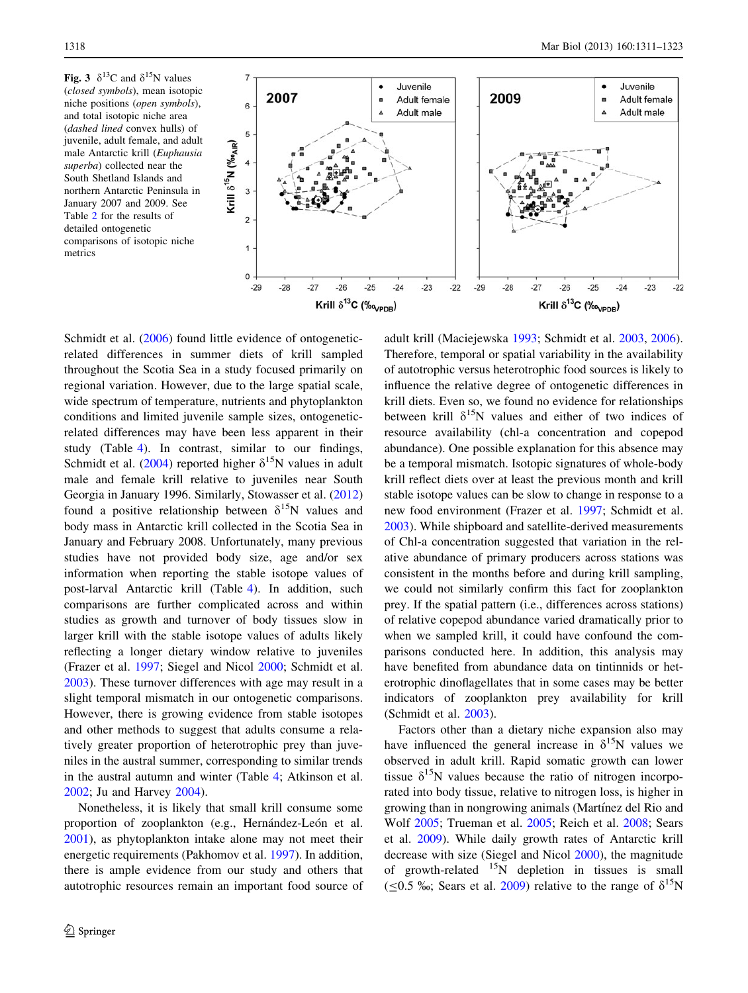<span id="page-7-0"></span>Fig. 3  $\delta^{13}$ C and  $\delta^{15}$ N values (closed symbols), mean isotopic niche positions (open symbols), and total isotopic niche area (dashed lined convex hulls) of juvenile, adult female, and adult male Antarctic krill (Euphausia superba) collected near the South Shetland Islands and northern Antarctic Peninsula in January 2007 and 2009. See Table [2](#page-6-0) for the results of detailed ontogenetic comparisons of isotopic niche metrics



Schmidt et al. [\(2006](#page-11-0)) found little evidence of ontogeneticrelated differences in summer diets of krill sampled throughout the Scotia Sea in a study focused primarily on regional variation. However, due to the large spatial scale, wide spectrum of temperature, nutrients and phytoplankton conditions and limited juvenile sample sizes, ontogeneticrelated differences may have been less apparent in their study (Table [4](#page-8-0)). In contrast, similar to our findings, Schmidt et al. [\(2004](#page-11-0)) reported higher  $\delta^{15}N$  values in adult male and female krill relative to juveniles near South Georgia in January 1996. Similarly, Stowasser et al. ([2012\)](#page-12-0) found a positive relationship between  $\delta^{15}N$  values and body mass in Antarctic krill collected in the Scotia Sea in January and February 2008. Unfortunately, many previous studies have not provided body size, age and/or sex information when reporting the stable isotope values of post-larval Antarctic krill (Table [4\)](#page-8-0). In addition, such comparisons are further complicated across and within studies as growth and turnover of body tissues slow in larger krill with the stable isotope values of adults likely reflecting a longer dietary window relative to juveniles (Frazer et al. [1997](#page-10-0); Siegel and Nicol [2000;](#page-12-0) Schmidt et al. [2003\)](#page-11-0). These turnover differences with age may result in a slight temporal mismatch in our ontogenetic comparisons. However, there is growing evidence from stable isotopes and other methods to suggest that adults consume a relatively greater proportion of heterotrophic prey than juveniles in the austral summer, corresponding to similar trends in the austral autumn and winter (Table [4;](#page-8-0) Atkinson et al. [2002;](#page-10-0) Ju and Harvey [2004\)](#page-11-0).

Nonetheless, it is likely that small krill consume some proportion of zooplankton (e.g., Hernández-León et al. [2001\)](#page-10-0), as phytoplankton intake alone may not meet their energetic requirements (Pakhomov et al. [1997\)](#page-11-0). In addition, there is ample evidence from our study and others that autotrophic resources remain an important food source of adult krill (Maciejewska [1993;](#page-11-0) Schmidt et al. [2003](#page-11-0), [2006](#page-11-0)). Therefore, temporal or spatial variability in the availability of autotrophic versus heterotrophic food sources is likely to influence the relative degree of ontogenetic differences in krill diets. Even so, we found no evidence for relationships between krill  $\delta^{15}N$  values and either of two indices of resource availability (chl-a concentration and copepod abundance). One possible explanation for this absence may be a temporal mismatch. Isotopic signatures of whole-body krill reflect diets over at least the previous month and krill stable isotope values can be slow to change in response to a new food environment (Frazer et al. [1997;](#page-10-0) Schmidt et al. [2003](#page-11-0)). While shipboard and satellite-derived measurements of Chl-a concentration suggested that variation in the relative abundance of primary producers across stations was consistent in the months before and during krill sampling, we could not similarly confirm this fact for zooplankton prey. If the spatial pattern (i.e., differences across stations) of relative copepod abundance varied dramatically prior to when we sampled krill, it could have confound the comparisons conducted here. In addition, this analysis may have benefited from abundance data on tintinnids or heterotrophic dinoflagellates that in some cases may be better indicators of zooplankton prey availability for krill (Schmidt et al. [2003\)](#page-11-0).

Factors other than a dietary niche expansion also may have influenced the general increase in  $\delta^{15}N$  values we observed in adult krill. Rapid somatic growth can lower tissue  $\delta^{15}N$  values because the ratio of nitrogen incorporated into body tissue, relative to nitrogen loss, is higher in growing than in nongrowing animals (Martínez del Rio and Wolf [2005](#page-11-0); Trueman et al. [2005;](#page-12-0) Reich et al. [2008](#page-11-0); Sears et al. [2009](#page-11-0)). While daily growth rates of Antarctic krill decrease with size (Siegel and Nicol [2000\)](#page-12-0), the magnitude of growth-related  $^{15}N$  depletion in tissues is small ( $\leq$ 0.5 ‰; Sears et al. [2009\)](#page-11-0) relative to the range of  $\delta^{15}N$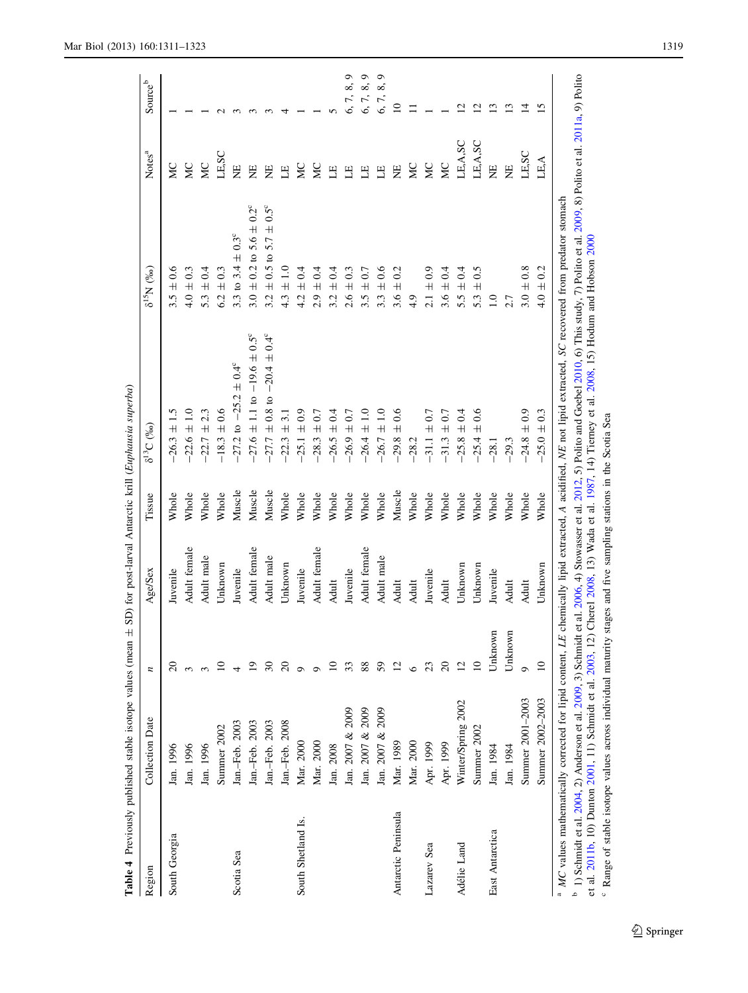| Region              | Collection Date    | n           | Age/Sex      | Tissue | $\delta^{13}C~(^{9}_{60})$                      | $\delta^{15}{\rm N}$ $(\%)_0$      | Notes <sup>a</sup> | Source <sup>b</sup>         |
|---------------------|--------------------|-------------|--------------|--------|-------------------------------------------------|------------------------------------|--------------------|-----------------------------|
| South Georgia       | Jan. 1996          |             | Juvenile     | Whole  | $26.3 \pm 1.5$                                  | $3.5 \pm 0.6$                      | SN                 |                             |
|                     | Jan. 1996          |             | Adult female | Whole  | $-22.6 \pm 1.0$                                 | $4.0 \pm 0.3$                      | ЙC                 |                             |
|                     | Jan. 1996          |             | Adult male   | Whole  | $-22.7 \pm 2.3$                                 | $\pm 0.4$<br>5.3                   | ЙC                 |                             |
|                     | Summer 2002        |             | Unknown      | Whole  | $-18.3 \pm 0.6$                                 | $\pm 0.3$<br>6.2                   | LE, SC             |                             |
| Scotia Sea          | Jan.-Feb. 2003     |             | Juvenile     | Muscle | $-27.2$ to $-25.2 \pm 0.4^{\circ}$              | 3.3 to 3.4 $\pm$ 0.3°              | E                  |                             |
|                     | Jan.-Feb. 2003     |             | Adult female | Muscle | $27.6 \pm 1.1$ to $-19.6 \pm 0.5$ °             | $\pm$ 0.2 to 5.6 $\pm$ 0.2°<br>3.0 | $\Xi$              |                             |
|                     | Jan.-Feb. 2003     |             | Adult male   | Muscle | $\pm$ 0.8 to $-20.4 \pm 0.4^{\circ}$<br>$-27.7$ | $\pm$ 0.5 to 5.7 $\pm$ 0.5°<br>3.2 | Ë                  |                             |
|                     | Jan.-Feb. 2008     |             | Unknown      | Whole  | 5.1<br>$\overline{+}$<br>$-22.3$                | $\pm 1.0$<br>4.3                   | $\mathbf{E}$       |                             |
| South Shetland Is.  | Mar. 2000          |             | Juvenile     | Whole  | $-25.1 \pm 0.9$                                 | $\pm 0.4$<br>4.2                   | ă                  |                             |
|                     | Mar. 2000          |             | Adult female | Whole  | $\pm 0.7$<br>$-28.3$                            | $\pm 0.4$<br>$2.9$ .               | ă                  |                             |
|                     | Jan. 2008          |             | Adult        | Whole  | $-26.5 \pm 0.4$                                 | $\pm 0.4$<br>3.2                   | 딸                  |                             |
|                     | Jan. 2007 & 2009   |             | Juvenile     | Whole  | $-26.9 \pm 0.7$                                 | $\pm 0.3$<br>2.6                   | 巴                  |                             |
|                     | Jan. 2007 & 2009   | 88          | Adult female | Whole  | $-26.4 \pm 1.0$                                 | $\pm 0.7$<br>3.5                   | Е                  |                             |
|                     | Jan. 2007 & 2009   | 59          | Adult male   | Whole  | $-26.7 \pm 1.0$                                 | $3.3 \pm 0.6$                      | $\Xi$              | ∞                           |
| Antarctic Peninsula | Mar. 1989          |             | Adult        | Muscle | $\pm 0.6$<br>$-29.8$                            | $\approx$<br>$3.6 \pm$             | ΣÄ                 |                             |
|                     | Mar. 2000          |             | Adult        | Whole  | $-28.2$                                         | 4.9                                | ă                  |                             |
| Lazarev Sea         | Apr. 1999          |             | Juvenile     | Whole  | $-31.1 \pm 0.7$                                 | $2.1 \pm 0.9$                      | SN                 |                             |
|                     | Apr. 1999          | $\infty$    | Adult        | Whole  | $\pm 0.7$<br>$-31.3$                            | $3.6 \pm 0.4$                      | S                  |                             |
| Adélie Land         | Winter/Spring 2002 |             | Unknown      | Whole  | $25.8 \pm 0.4$                                  | $5.5 \pm 0.4$                      | LE, A, SC          | $\mathbf{\mathsf{C}}$       |
|                     | Summer 2002        | $\Box$      | Unknown      | Whole  | $\pm 0.6$<br>$-25.4$                            | $5.3 \pm 0.5$                      | LE, A, SC          | $\mathcal{L}_{\mathcal{L}}$ |
| East Antarctica     | Jan. 1984          | Unknown     | Juvenile     | Whole  | $-28.1$                                         | $\overline{1.0}$                   | E                  | ≌                           |
|                     | Jan. 1984          | Unknown     | Adult        | Whole  | $-29.3$                                         | 2.7                                | ΗE                 | ≌                           |
|                     | Summer 2001-2003   |             | Adult        | Whole  | $\pm 0.9$<br>$-24.8$                            | $3.0 \pm 0.8$                      | LE, SC             | $\vec{v}$                   |
|                     | Summer 2002-2003   | $\supseteq$ | Unknown      | Whole  | $25.0 \pm 0.3$                                  | $4.0 \pm 0.2$                      | LE,A               | $\overline{5}$              |

<sup>0</sup> 1) Schmidt et al. [2004](#page-11-0), 2) Anderson et al. [2009](#page-11-0), 3) Schmidt et al. [2006](#page-11-0), 4) Stowasser et al. [2012](#page-12-0), 5) Polito and Goebel [2010](#page-11-0), 6) This study, 7) Polito et al. 2009, 8) Polito et al. [2011a](#page-11-0), 9) Polito 1) Semmuu et al. 2004, 2) Anterson et al. 2005, 5) Semmuu et al. 2000, 4) Suowasser et al. 2012, 5) Fonto anu Goebel 2010, 0) Imis study, 7) Fonto et al.<br>et al. 2011b, 10) Dunton 2001, 11) Schmidt et al. 2003, 12) Cherel 2 et al. [2011b](#page-11-0), 10) Dunton [2001](#page-10-0), 11) Schmidt et al. [2003](#page-11-0), 12) Cherel [2008](#page-10-0), 13) Wada et al. [1987](#page-12-0), 14) Tierney et al. [2008](#page-12-0), 15) Hodum and Hobson [2000](#page-10-0) <sup>c</sup> Range of stable isotope values across individual maturity stages and five sampling stations in the Scotia Sea

Range of stable isotope values across individual maturity stages and five sampling stations in the Scotia Sea

<span id="page-8-0"></span>Mar Biol (2013) 160:1311–1323 1319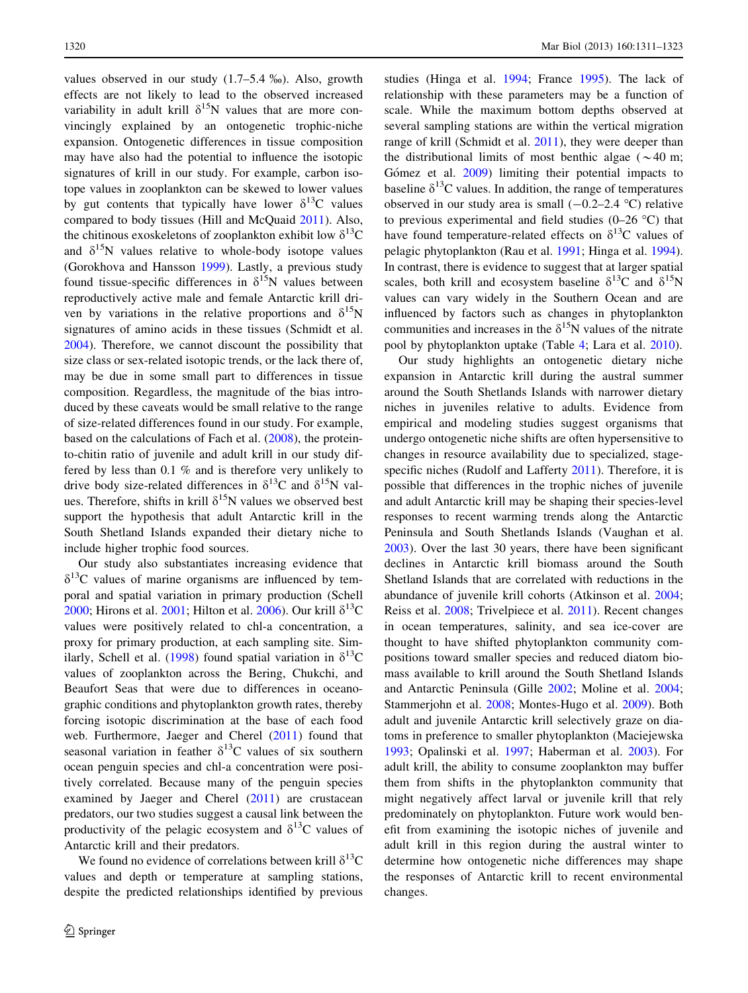values observed in our study  $(1.7–5.4\%)$ . Also, growth effects are not likely to lead to the observed increased variability in adult krill  $\delta^{15}N$  values that are more convincingly explained by an ontogenetic trophic-niche expansion. Ontogenetic differences in tissue composition may have also had the potential to influence the isotopic signatures of krill in our study. For example, carbon isotope values in zooplankton can be skewed to lower values by gut contents that typically have lower  $\delta^{13}$ C values compared to body tissues (Hill and McQuaid [2011\)](#page-10-0). Also, the chitinous exoskeletons of zooplankton exhibit low  $\delta^{13}C$ and  $\delta^{15}$ N values relative to whole-body isotope values (Gorokhova and Hansson [1999\)](#page-10-0). Lastly, a previous study found tissue-specific differences in  $\delta^{15}N$  values between reproductively active male and female Antarctic krill driven by variations in the relative proportions and  $\delta^{15}N$ signatures of amino acids in these tissues (Schmidt et al. [2004\)](#page-11-0). Therefore, we cannot discount the possibility that size class or sex-related isotopic trends, or the lack there of, may be due in some small part to differences in tissue composition. Regardless, the magnitude of the bias introduced by these caveats would be small relative to the range of size-related differences found in our study. For example, based on the calculations of Fach et al. ([2008\)](#page-10-0), the proteinto-chitin ratio of juvenile and adult krill in our study differed by less than 0.1 % and is therefore very unlikely to drive body size-related differences in  $\delta^{13}$ C and  $\delta^{15}$ N values. Therefore, shifts in krill  $\delta^{15}N$  values we observed best support the hypothesis that adult Antarctic krill in the South Shetland Islands expanded their dietary niche to include higher trophic food sources.

Our study also substantiates increasing evidence that  $\delta^{13}$ C values of marine organisms are influenced by temporal and spatial variation in primary production (Schell [2000;](#page-11-0) Hirons et al. [2001](#page-10-0); Hilton et al. [2006](#page-10-0)). Our krill  $\delta^{13}C$ values were positively related to chl-a concentration, a proxy for primary production, at each sampling site. Sim-ilarly, Schell et al. [\(1998](#page-11-0)) found spatial variation in  $\delta^{13}C$ values of zooplankton across the Bering, Chukchi, and Beaufort Seas that were due to differences in oceanographic conditions and phytoplankton growth rates, thereby forcing isotopic discrimination at the base of each food web. Furthermore, Jaeger and Cherel ([2011\)](#page-11-0) found that seasonal variation in feather  $\delta^{13}$ C values of six southern ocean penguin species and chl-a concentration were positively correlated. Because many of the penguin species examined by Jaeger and Cherel  $(2011)$  $(2011)$  $(2011)$  are crustacean predators, our two studies suggest a causal link between the productivity of the pelagic ecosystem and  $\delta^{13}$ C values of Antarctic krill and their predators.

We found no evidence of correlations between krill  $\delta^{13}C$ values and depth or temperature at sampling stations, despite the predicted relationships identified by previous studies (Hinga et al. [1994](#page-10-0); France [1995](#page-10-0)). The lack of relationship with these parameters may be a function of scale. While the maximum bottom depths observed at several sampling stations are within the vertical migration range of krill (Schmidt et al. [2011](#page-11-0)), they were deeper than the distributional limits of most benthic algae ( $\sim$ 40 m; Gómez et al. [2009\)](#page-10-0) limiting their potential impacts to baseline  $\delta^{13}$ C values. In addition, the range of temperatures observed in our study area is small  $(-0.2-2.4 \degree C)$  relative to previous experimental and field studies  $(0-26 \degree C)$  that have found temperature-related effects on  $\delta^{13}$ C values of pelagic phytoplankton (Rau et al. [1991](#page-11-0); Hinga et al. [1994](#page-10-0)). In contrast, there is evidence to suggest that at larger spatial scales, both krill and ecosystem baseline  $\delta^{13}C$  and  $\delta^{15}N$ values can vary widely in the Southern Ocean and are influenced by factors such as changes in phytoplankton communities and increases in the  $\delta^{15}N$  values of the nitrate pool by phytoplankton uptake (Table [4](#page-8-0); Lara et al. [2010\)](#page-11-0).

Our study highlights an ontogenetic dietary niche expansion in Antarctic krill during the austral summer around the South Shetlands Islands with narrower dietary niches in juveniles relative to adults. Evidence from empirical and modeling studies suggest organisms that undergo ontogenetic niche shifts are often hypersensitive to changes in resource availability due to specialized, stage-specific niches (Rudolf and Lafferty [2011](#page-11-0)). Therefore, it is possible that differences in the trophic niches of juvenile and adult Antarctic krill may be shaping their species-level responses to recent warming trends along the Antarctic Peninsula and South Shetlands Islands (Vaughan et al. [2003](#page-12-0)). Over the last 30 years, there have been significant declines in Antarctic krill biomass around the South Shetland Islands that are correlated with reductions in the abundance of juvenile krill cohorts (Atkinson et al. [2004](#page-10-0); Reiss et al. [2008](#page-11-0); Trivelpiece et al. [2011](#page-12-0)). Recent changes in ocean temperatures, salinity, and sea ice-cover are thought to have shifted phytoplankton community compositions toward smaller species and reduced diatom biomass available to krill around the South Shetland Islands and Antarctic Peninsula (Gille [2002](#page-10-0); Moline et al. [2004](#page-11-0); Stammerjohn et al. [2008](#page-12-0); Montes-Hugo et al. [2009\)](#page-11-0). Both adult and juvenile Antarctic krill selectively graze on diatoms in preference to smaller phytoplankton (Maciejewska [1993](#page-11-0); Opalinski et al. [1997;](#page-11-0) Haberman et al. [2003](#page-10-0)). For adult krill, the ability to consume zooplankton may buffer them from shifts in the phytoplankton community that might negatively affect larval or juvenile krill that rely predominately on phytoplankton. Future work would benefit from examining the isotopic niches of juvenile and adult krill in this region during the austral winter to determine how ontogenetic niche differences may shape the responses of Antarctic krill to recent environmental changes.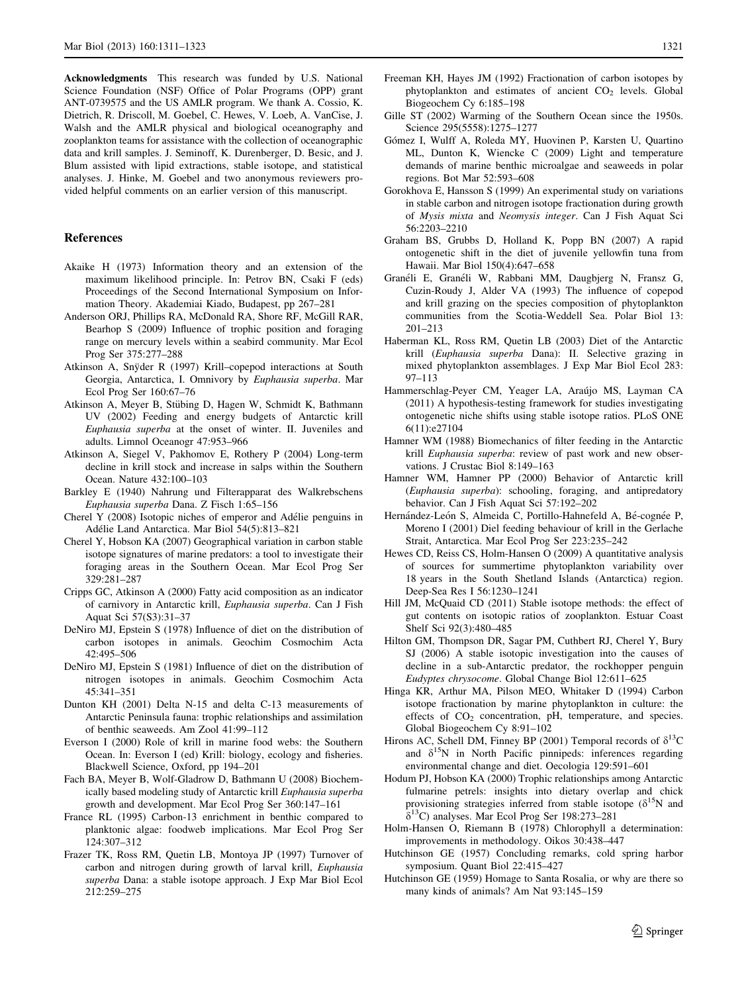<span id="page-10-0"></span>Acknowledgments This research was funded by U.S. National Science Foundation (NSF) Office of Polar Programs (OPP) grant ANT-0739575 and the US AMLR program. We thank A. Cossio, K. Dietrich, R. Driscoll, M. Goebel, C. Hewes, V. Loeb, A. VanCise, J. Walsh and the AMLR physical and biological oceanography and zooplankton teams for assistance with the collection of oceanographic data and krill samples. J. Seminoff, K. Durenberger, D. Besic, and J. Blum assisted with lipid extractions, stable isotope, and statistical analyses. J. Hinke, M. Goebel and two anonymous reviewers provided helpful comments on an earlier version of this manuscript.

## References

- Akaike H (1973) Information theory and an extension of the maximum likelihood principle. In: Petrov BN, Csaki F (eds) Proceedings of the Second International Symposium on Information Theory. Akademiai Kiado, Budapest, pp 267–281
- Anderson ORJ, Phillips RA, McDonald RA, Shore RF, McGill RAR, Bearhop S (2009) Influence of trophic position and foraging range on mercury levels within a seabird community. Mar Ecol Prog Ser 375:277–288
- Atkinson A, Snyder R (1997) Krill–copepod interactions at South Georgia, Antarctica, I. Omnivory by Euphausia superba. Mar Ecol Prog Ser 160:67–76
- Atkinson A, Meyer B, Stübing D, Hagen W, Schmidt K, Bathmann UV (2002) Feeding and energy budgets of Antarctic krill Euphausia superba at the onset of winter. II. Juveniles and adults. Limnol Oceanogr 47:953–966
- Atkinson A, Siegel V, Pakhomov E, Rothery P (2004) Long-term decline in krill stock and increase in salps within the Southern Ocean. Nature 432:100–103
- Barkley E (1940) Nahrung und Filterapparat des Walkrebschens Euphausia superba Dana. Z Fisch 1:65–156
- Cherel Y (2008) Isotopic niches of emperor and Adélie penguins in Adélie Land Antarctica. Mar Biol 54(5):813-821
- Cherel Y, Hobson KA (2007) Geographical variation in carbon stable isotope signatures of marine predators: a tool to investigate their foraging areas in the Southern Ocean. Mar Ecol Prog Ser 329:281–287
- Cripps GC, Atkinson A (2000) Fatty acid composition as an indicator of carnivory in Antarctic krill, Euphausia superba. Can J Fish Aquat Sci 57(S3):31–37
- DeNiro MJ, Epstein S (1978) Influence of diet on the distribution of carbon isotopes in animals. Geochim Cosmochim Acta 42:495–506
- DeNiro MJ, Epstein S (1981) Influence of diet on the distribution of nitrogen isotopes in animals. Geochim Cosmochim Acta 45:341–351
- Dunton KH (2001) Delta N-15 and delta C-13 measurements of Antarctic Peninsula fauna: trophic relationships and assimilation of benthic seaweeds. Am Zool 41:99–112
- Everson I (2000) Role of krill in marine food webs: the Southern Ocean. In: Everson I (ed) Krill: biology, ecology and fisheries. Blackwell Science, Oxford, pp 194–201
- Fach BA, Meyer B, Wolf-Gladrow D, Bathmann U (2008) Biochemically based modeling study of Antarctic krill Euphausia superba growth and development. Mar Ecol Prog Ser 360:147–161
- France RL (1995) Carbon-13 enrichment in benthic compared to planktonic algae: foodweb implications. Mar Ecol Prog Ser 124:307–312
- Frazer TK, Ross RM, Quetin LB, Montoya JP (1997) Turnover of carbon and nitrogen during growth of larval krill, Euphausia superba Dana: a stable isotope approach. J Exp Mar Biol Ecol 212:259–275
- Freeman KH, Hayes JM (1992) Fractionation of carbon isotopes by phytoplankton and estimates of ancient  $CO<sub>2</sub>$  levels. Global Biogeochem Cy 6:185–198
- Gille ST (2002) Warming of the Southern Ocean since the 1950s. Science 295(5558):1275–1277
- Gómez I, Wulff A, Roleda MY, Huovinen P, Karsten U, Quartino ML, Dunton K, Wiencke C (2009) Light and temperature demands of marine benthic microalgae and seaweeds in polar regions. Bot Mar 52:593–608
- Gorokhova E, Hansson S (1999) An experimental study on variations in stable carbon and nitrogen isotope fractionation during growth of Mysis mixta and Neomysis integer. Can J Fish Aquat Sci 56:2203–2210
- Graham BS, Grubbs D, Holland K, Popp BN (2007) A rapid ontogenetic shift in the diet of juvenile yellowfin tuna from Hawaii. Mar Biol 150(4):647–658
- Granéli E, Granéli W, Rabbani MM, Daugbjerg N, Fransz G, Cuzin-Roudy J, Alder VA (1993) The influence of copepod and krill grazing on the species composition of phytoplankton communities from the Scotia-Weddell Sea. Polar Biol 13: 201–213
- Haberman KL, Ross RM, Quetin LB (2003) Diet of the Antarctic krill (Euphausia superba Dana): II. Selective grazing in mixed phytoplankton assemblages. J Exp Mar Biol Ecol 283: 97–113
- Hammerschlag-Peyer CM, Yeager LA, Araújo MS, Layman CA (2011) A hypothesis-testing framework for studies investigating ontogenetic niche shifts using stable isotope ratios. PLoS ONE 6(11):e27104
- Hamner WM (1988) Biomechanics of filter feeding in the Antarctic krill Euphausia superba: review of past work and new observations. J Crustac Biol 8:149–163
- Hamner WM, Hamner PP (2000) Behavior of Antarctic krill (Euphausia superba): schooling, foraging, and antipredatory behavior. Can J Fish Aquat Sci 57:192–202
- Hernández-León S, Almeida C, Portillo-Hahnefeld A, Bé-cognée P, Moreno I (2001) Diel feeding behaviour of krill in the Gerlache Strait, Antarctica. Mar Ecol Prog Ser 223:235–242
- Hewes CD, Reiss CS, Holm-Hansen O (2009) A quantitative analysis of sources for summertime phytoplankton variability over 18 years in the South Shetland Islands (Antarctica) region. Deep-Sea Res I 56:1230–1241
- Hill JM, McQuaid CD (2011) Stable isotope methods: the effect of gut contents on isotopic ratios of zooplankton. Estuar Coast Shelf Sci 92(3):480–485
- Hilton GM, Thompson DR, Sagar PM, Cuthbert RJ, Cherel Y, Bury SJ (2006) A stable isotopic investigation into the causes of decline in a sub-Antarctic predator, the rockhopper penguin Eudyptes chrysocome. Global Change Biol 12:611–625
- Hinga KR, Arthur MA, Pilson MEO, Whitaker D (1994) Carbon isotope fractionation by marine phytoplankton in culture: the effects of  $CO<sub>2</sub>$  concentration, pH, temperature, and species. Global Biogeochem Cy 8:91–102
- Hirons AC, Schell DM, Finney BP (2001) Temporal records of  $\delta^{13}C$ and  $\delta^{15}N$  in North Pacific pinnipeds: inferences regarding environmental change and diet. Oecologia 129:591–601
- Hodum PJ, Hobson KA (2000) Trophic relationships among Antarctic fulmarine petrels: insights into dietary overlap and chick provisioning strategies inferred from stable isotope  $(\delta^{15}N)$  and  $\delta^{13}$ C) analyses. Mar Ecol Prog Ser 198:273–281
- Holm-Hansen O, Riemann B (1978) Chlorophyll a determination: improvements in methodology. Oikos 30:438–447
- Hutchinson GE (1957) Concluding remarks, cold spring harbor symposium. Quant Biol 22:415–427
- Hutchinson GE (1959) Homage to Santa Rosalia, or why are there so many kinds of animals? Am Nat 93:145–159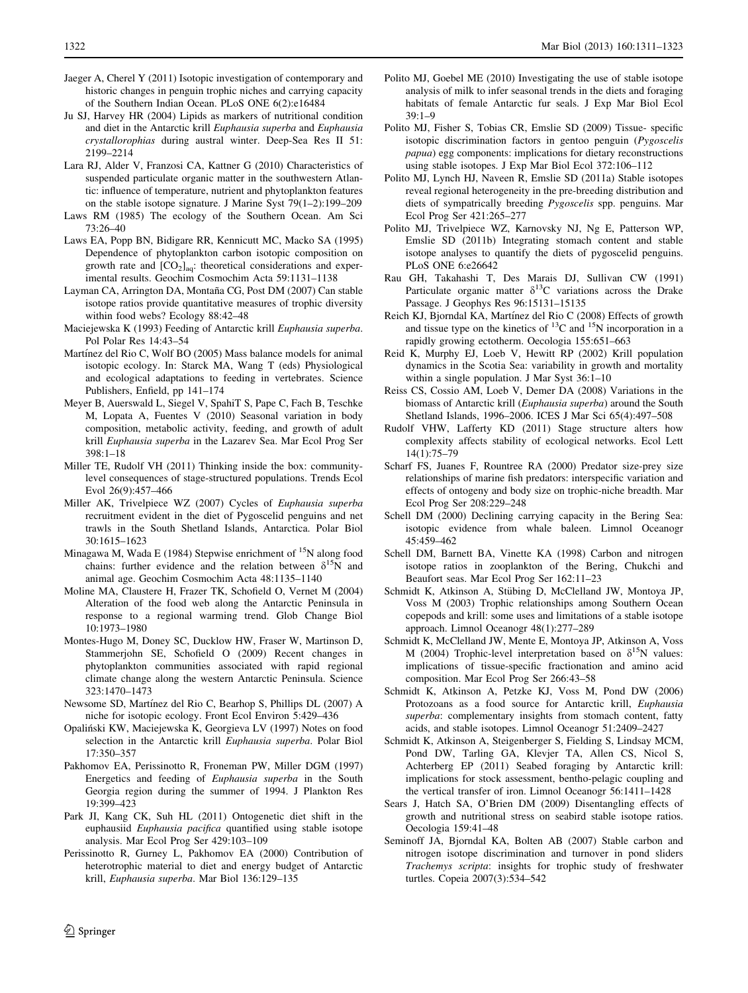- <span id="page-11-0"></span>Jaeger A, Cherel Y (2011) Isotopic investigation of contemporary and historic changes in penguin trophic niches and carrying capacity of the Southern Indian Ocean. PLoS ONE 6(2):e16484
- Ju SJ, Harvey HR (2004) Lipids as markers of nutritional condition and diet in the Antarctic krill Euphausia superba and Euphausia crystallorophias during austral winter. Deep-Sea Res II 51: 2199–2214
- Lara RJ, Alder V, Franzosi CA, Kattner G (2010) Characteristics of suspended particulate organic matter in the southwestern Atlantic: influence of temperature, nutrient and phytoplankton features on the stable isotope signature. J Marine Syst 79(1–2):199–209
- Laws RM (1985) The ecology of the Southern Ocean. Am Sci 73:26–40
- Laws EA, Popp BN, Bidigare RR, Kennicutt MC, Macko SA (1995) Dependence of phytoplankton carbon isotopic composition on growth rate and  $[CO_2]_{aq}$ : theoretical considerations and experimental results. Geochim Cosmochim Acta 59:1131–1138
- Layman CA, Arrington DA, Montaña CG, Post DM (2007) Can stable isotope ratios provide quantitative measures of trophic diversity within food webs? Ecology 88:42–48
- Maciejewska K (1993) Feeding of Antarctic krill Euphausia superba. Pol Polar Res 14:43–54
- Martínez del Rio C, Wolf BO (2005) Mass balance models for animal isotopic ecology. In: Starck MA, Wang T (eds) Physiological and ecological adaptations to feeding in vertebrates. Science Publishers, Enfield, pp 141–174
- Meyer B, Auerswald L, Siegel V, SpahiT S, Pape C, Fach B, Teschke M, Lopata A, Fuentes V (2010) Seasonal variation in body composition, metabolic activity, feeding, and growth of adult krill Euphausia superba in the Lazarev Sea. Mar Ecol Prog Ser 398:1–18
- Miller TE, Rudolf VH (2011) Thinking inside the box: communitylevel consequences of stage-structured populations. Trends Ecol Evol 26(9):457–466
- Miller AK, Trivelpiece WZ (2007) Cycles of Euphausia superba recruitment evident in the diet of Pygoscelid penguins and net trawls in the South Shetland Islands, Antarctica. Polar Biol 30:1615–1623
- Minagawa M, Wada E (1984) Stepwise enrichment of  $15N$  along food chains: further evidence and the relation between  $\delta^{15}N$  and animal age. Geochim Cosmochim Acta 48:1135–1140
- Moline MA, Claustere H, Frazer TK, Schofield O, Vernet M (2004) Alteration of the food web along the Antarctic Peninsula in response to a regional warming trend. Glob Change Biol 10:1973–1980
- Montes-Hugo M, Doney SC, Ducklow HW, Fraser W, Martinson D, Stammerjohn SE, Schofield O (2009) Recent changes in phytoplankton communities associated with rapid regional climate change along the western Antarctic Peninsula. Science 323:1470–1473
- Newsome SD, Martínez del Rio C, Bearhop S, Phillips DL (2007) A niche for isotopic ecology. Front Ecol Environ 5:429–436
- Opalin´ski KW, Maciejewska K, Georgieva LV (1997) Notes on food selection in the Antarctic krill Euphausia superba. Polar Biol 17:350–357
- Pakhomov EA, Perissinotto R, Froneman PW, Miller DGM (1997) Energetics and feeding of Euphausia superba in the South Georgia region during the summer of 1994. J Plankton Res 19:399–423
- Park JI, Kang CK, Suh HL (2011) Ontogenetic diet shift in the euphausiid Euphausia pacifica quantified using stable isotope analysis. Mar Ecol Prog Ser 429:103–109
- Perissinotto R, Gurney L, Pakhomov EA (2000) Contribution of heterotrophic material to diet and energy budget of Antarctic krill, Euphausia superba. Mar Biol 136:129–135
- Polito MJ, Goebel ME (2010) Investigating the use of stable isotope analysis of milk to infer seasonal trends in the diets and foraging habitats of female Antarctic fur seals. J Exp Mar Biol Ecol 39:1–9
- Polito MJ, Fisher S, Tobias CR, Emslie SD (2009) Tissue- specific isotopic discrimination factors in gentoo penguin (Pygoscelis papua) egg components: implications for dietary reconstructions using stable isotopes. J Exp Mar Biol Ecol 372:106–112
- Polito MJ, Lynch HJ, Naveen R, Emslie SD (2011a) Stable isotopes reveal regional heterogeneity in the pre-breeding distribution and diets of sympatrically breeding Pygoscelis spp. penguins. Mar Ecol Prog Ser 421:265–277
- Polito MJ, Trivelpiece WZ, Karnovsky NJ, Ng E, Patterson WP, Emslie SD (2011b) Integrating stomach content and stable isotope analyses to quantify the diets of pygoscelid penguins. PLoS ONE 6:e26642
- Rau GH, Takahashi T, Des Marais DJ, Sullivan CW (1991) Particulate organic matter  $\delta^{13}$ C variations across the Drake Passage. J Geophys Res 96:15131–15135
- Reich KJ, Bjorndal KA, Martínez del Rio C (2008) Effects of growth and tissue type on the kinetics of  $^{13}$ C and  $^{15}$ N incorporation in a rapidly growing ectotherm. Oecologia 155:651–663
- Reid K, Murphy EJ, Loeb V, Hewitt RP (2002) Krill population dynamics in the Scotia Sea: variability in growth and mortality within a single population. J Mar Syst 36:1–10
- Reiss CS, Cossio AM, Loeb V, Demer DA (2008) Variations in the biomass of Antarctic krill (Euphausia superba) around the South Shetland Islands, 1996–2006. ICES J Mar Sci 65(4):497–508
- Rudolf VHW, Lafferty KD (2011) Stage structure alters how complexity affects stability of ecological networks. Ecol Lett 14(1):75–79
- Scharf FS, Juanes F, Rountree RA (2000) Predator size-prey size relationships of marine fish predators: interspecific variation and effects of ontogeny and body size on trophic-niche breadth. Mar Ecol Prog Ser 208:229–248
- Schell DM (2000) Declining carrying capacity in the Bering Sea: isotopic evidence from whale baleen. Limnol Oceanogr 45:459–462
- Schell DM, Barnett BA, Vinette KA (1998) Carbon and nitrogen isotope ratios in zooplankton of the Bering, Chukchi and Beaufort seas. Mar Ecol Prog Ser 162:11–23
- Schmidt K, Atkinson A, Stübing D, McClelland JW, Montoya JP, Voss M (2003) Trophic relationships among Southern Ocean copepods and krill: some uses and limitations of a stable isotope approach. Limnol Oceanogr 48(1):277–289
- Schmidt K, McClelland JW, Mente E, Montoya JP, Atkinson A, Voss M (2004) Trophic-level interpretation based on  $\delta^{15}N$  values: implications of tissue-specific fractionation and amino acid composition. Mar Ecol Prog Ser 266:43–58
- Schmidt K, Atkinson A, Petzke KJ, Voss M, Pond DW (2006) Protozoans as a food source for Antarctic krill, Euphausia superba: complementary insights from stomach content, fatty acids, and stable isotopes. Limnol Oceanogr 51:2409–2427
- Schmidt K, Atkinson A, Steigenberger S, Fielding S, Lindsay MCM, Pond DW, Tarling GA, Klevjer TA, Allen CS, Nicol S, Achterberg EP (2011) Seabed foraging by Antarctic krill: implications for stock assessment, bentho-pelagic coupling and the vertical transfer of iron. Limnol Oceanogr 56:1411–1428
- Sears J, Hatch SA, O'Brien DM (2009) Disentangling effects of growth and nutritional stress on seabird stable isotope ratios. Oecologia 159:41–48
- Seminoff JA, Bjorndal KA, Bolten AB (2007) Stable carbon and nitrogen isotope discrimination and turnover in pond sliders Trachemys scripta: insights for trophic study of freshwater turtles. Copeia 2007(3):534–542